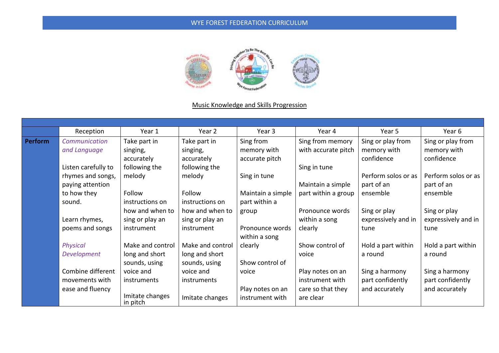

# Music Knowledge and Skills Progression

|         | Reception           | Year 1                      | Year 2           | Year 3            | Year 4              | Year 5              | Year 6              |
|---------|---------------------|-----------------------------|------------------|-------------------|---------------------|---------------------|---------------------|
| Perform | Communication       | Take part in                | Take part in     | Sing from         | Sing from memory    | Sing or play from   | Sing or play from   |
|         | and Language        | singing,                    | singing,         | memory with       | with accurate pitch | memory with         | memory with         |
|         |                     | accurately                  | accurately       | accurate pitch    |                     | confidence          | confidence          |
|         | Listen carefully to | following the               | following the    |                   | Sing in tune        |                     |                     |
|         | rhymes and songs,   | melody                      | melody           | Sing in tune      |                     | Perform solos or as | Perform solos or as |
|         | paying attention    |                             |                  |                   | Maintain a simple   | part of an          | part of an          |
|         | to how they         | Follow                      | Follow           | Maintain a simple | part within a group | ensemble            | ensemble            |
|         | sound.              | instructions on             | instructions on  | part within a     |                     |                     |                     |
|         |                     | how and when to             | how and when to  | group             | Pronounce words     | Sing or play        | Sing or play        |
|         | Learn rhymes,       | sing or play an             | sing or play an  |                   | within a song       | expressively and in | expressively and in |
|         | poems and songs     | instrument                  | instrument       | Pronounce words   | clearly             | tune                | tune                |
|         |                     |                             |                  | within a song     |                     |                     |                     |
|         | <b>Physical</b>     | Make and control            | Make and control | clearly           | Show control of     | Hold a part within  | Hold a part within  |
|         | Development         | long and short              | long and short   |                   | voice               | a round             | a round             |
|         |                     | sounds, using               | sounds, using    | Show control of   |                     |                     |                     |
|         | Combine different   | voice and                   | voice and        | voice             | Play notes on an    | Sing a harmony      | Sing a harmony      |
|         | movements with      | instruments                 | instruments      |                   | instrument with     | part confidently    | part confidently    |
|         | ease and fluency    |                             |                  | Play notes on an  | care so that they   | and accurately      | and accurately      |
|         |                     | Imitate changes<br>in pitch | Imitate changes  | instrument with   | are clear           |                     |                     |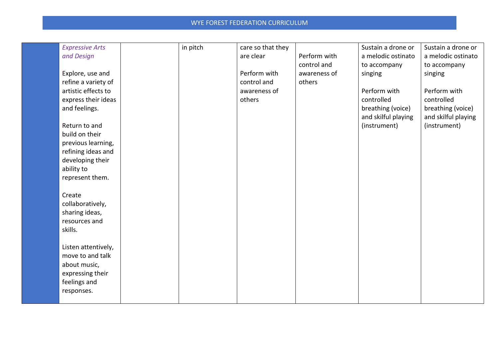| <b>Expressive Arts</b>           | in pitch | care so that they |              | Sustain a drone or                       | Sustain a drone or                       |
|----------------------------------|----------|-------------------|--------------|------------------------------------------|------------------------------------------|
| and Design                       |          | are clear         | Perform with | a melodic ostinato                       | a melodic ostinato                       |
|                                  |          |                   | control and  | to accompany                             | to accompany                             |
| Explore, use and                 |          | Perform with      | awareness of | singing                                  | singing                                  |
| refine a variety of              |          | control and       | others       |                                          |                                          |
| artistic effects to              |          | awareness of      |              | Perform with                             | Perform with                             |
| express their ideas              |          | others            |              | controlled                               | controlled                               |
| and feelings.                    |          |                   |              | breathing (voice)<br>and skilful playing | breathing (voice)<br>and skilful playing |
| Return to and                    |          |                   |              | (instrument)                             | (instrument)                             |
| build on their                   |          |                   |              |                                          |                                          |
| previous learning,               |          |                   |              |                                          |                                          |
| refining ideas and               |          |                   |              |                                          |                                          |
| developing their                 |          |                   |              |                                          |                                          |
| ability to                       |          |                   |              |                                          |                                          |
| represent them.                  |          |                   |              |                                          |                                          |
| Create                           |          |                   |              |                                          |                                          |
| collaboratively,                 |          |                   |              |                                          |                                          |
| sharing ideas,                   |          |                   |              |                                          |                                          |
| resources and                    |          |                   |              |                                          |                                          |
| skills.                          |          |                   |              |                                          |                                          |
|                                  |          |                   |              |                                          |                                          |
| Listen attentively,              |          |                   |              |                                          |                                          |
| move to and talk                 |          |                   |              |                                          |                                          |
| about music,<br>expressing their |          |                   |              |                                          |                                          |
| feelings and                     |          |                   |              |                                          |                                          |
| responses.                       |          |                   |              |                                          |                                          |
|                                  |          |                   |              |                                          |                                          |
|                                  |          |                   |              |                                          |                                          |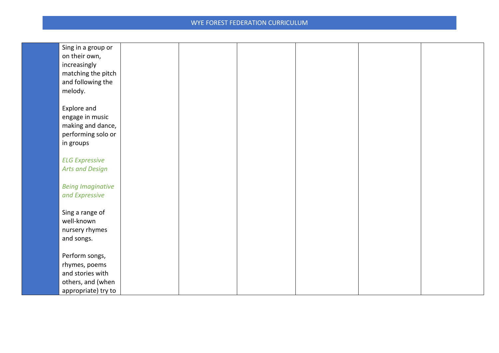| Sing in a group or       |  |  |  |
|--------------------------|--|--|--|
| on their own,            |  |  |  |
| increasingly             |  |  |  |
| matching the pitch       |  |  |  |
|                          |  |  |  |
| and following the        |  |  |  |
| melody.                  |  |  |  |
|                          |  |  |  |
| Explore and              |  |  |  |
| engage in music          |  |  |  |
| making and dance,        |  |  |  |
| performing solo or       |  |  |  |
| in groups                |  |  |  |
|                          |  |  |  |
| <b>ELG Expressive</b>    |  |  |  |
| <b>Arts and Design</b>   |  |  |  |
|                          |  |  |  |
| <b>Being Imaginative</b> |  |  |  |
| and Expressive           |  |  |  |
|                          |  |  |  |
| Sing a range of          |  |  |  |
| well-known               |  |  |  |
|                          |  |  |  |
| nursery rhymes           |  |  |  |
| and songs.               |  |  |  |
|                          |  |  |  |
| Perform songs,           |  |  |  |
| rhymes, poems            |  |  |  |
| and stories with         |  |  |  |
| others, and (when        |  |  |  |
| appropriate) try to      |  |  |  |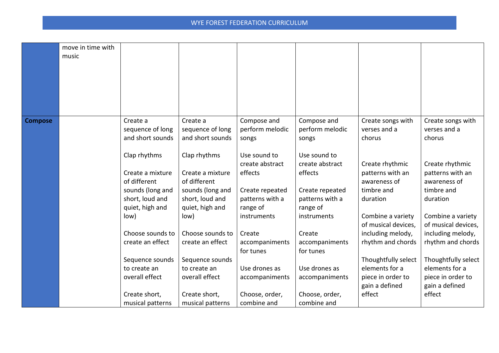|                | move in time with |                                   |                                   |                               |                               |                     |                     |
|----------------|-------------------|-----------------------------------|-----------------------------------|-------------------------------|-------------------------------|---------------------|---------------------|
|                | music             |                                   |                                   |                               |                               |                     |                     |
|                |                   |                                   |                                   |                               |                               |                     |                     |
|                |                   |                                   |                                   |                               |                               |                     |                     |
|                |                   |                                   |                                   |                               |                               |                     |                     |
|                |                   |                                   |                                   |                               |                               |                     |                     |
|                |                   |                                   |                                   |                               |                               |                     |                     |
|                |                   |                                   |                                   |                               |                               |                     |                     |
| <b>Compose</b> |                   | Create a                          | Create a                          | Compose and                   | Compose and                   | Create songs with   | Create songs with   |
|                |                   | sequence of long                  | sequence of long                  | perform melodic               | perform melodic               | verses and a        | verses and a        |
|                |                   | and short sounds                  | and short sounds                  | songs                         | songs                         | chorus              | chorus              |
|                |                   |                                   |                                   |                               |                               |                     |                     |
|                |                   | Clap rhythms                      | Clap rhythms                      | Use sound to                  | Use sound to                  |                     |                     |
|                |                   |                                   |                                   | create abstract               | create abstract               | Create rhythmic     | Create rhythmic     |
|                |                   | Create a mixture                  | Create a mixture                  | effects                       | effects                       | patterns with an    | patterns with an    |
|                |                   | of different                      | of different                      |                               |                               | awareness of        | awareness of        |
|                |                   | sounds (long and                  | sounds (long and                  | Create repeated               | Create repeated               | timbre and          | timbre and          |
|                |                   | short, loud and                   | short, loud and                   | patterns with a               | patterns with a               | duration            | duration            |
|                |                   | quiet, high and                   | quiet, high and                   | range of                      | range of                      |                     |                     |
|                |                   | low)                              | low)                              | instruments                   | instruments                   | Combine a variety   | Combine a variety   |
|                |                   |                                   |                                   |                               |                               | of musical devices, | of musical devices, |
|                |                   | Choose sounds to                  | Choose sounds to                  | Create                        | Create                        | including melody,   | including melody,   |
|                |                   | create an effect                  | create an effect                  | accompaniments                | accompaniments                | rhythm and chords   | rhythm and chords   |
|                |                   | Sequence sounds                   | Sequence sounds                   | for tunes                     | for tunes                     | Thoughtfully select | Thoughtfully select |
|                |                   | to create an                      | to create an                      | Use drones as                 | Use drones as                 | elements for a      | elements for a      |
|                |                   | overall effect                    | overall effect                    | accompaniments                | accompaniments                | piece in order to   | piece in order to   |
|                |                   |                                   |                                   |                               |                               | gain a defined      | gain a defined      |
|                |                   |                                   |                                   |                               |                               | effect              | effect              |
|                |                   |                                   |                                   |                               |                               |                     |                     |
|                |                   | Create short,<br>musical patterns | Create short,<br>musical patterns | Choose, order,<br>combine and | Choose, order,<br>combine and |                     |                     |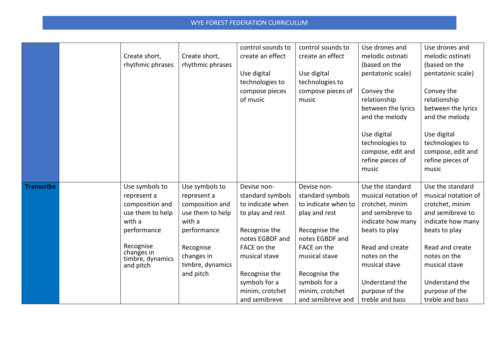|                   | Create short,<br>rhythmic phrases                                                                                                                         | Create short,<br>rhythmic phrases                                                                                                                         | control sounds to<br>create an effect<br>Use digital<br>technologies to<br>compose pieces<br>of music                                                                                                             | control sounds to<br>create an effect<br>Use digital<br>technologies to<br>compose pieces of<br>music                                                                                                                 | Use drones and<br>melodic ostinati<br>(based on the<br>pentatonic scale)<br>Convey the<br>relationship<br>between the lyrics<br>and the melody<br>Use digital<br>technologies to<br>compose, edit and<br>refine pieces of<br>music | Use drones and<br>melodic ostinati<br>(based on the<br>pentatonic scale)<br>Convey the<br>relationship<br>between the lyrics<br>and the melody<br>Use digital<br>technologies to<br>compose, edit and<br>refine pieces of<br>music |
|-------------------|-----------------------------------------------------------------------------------------------------------------------------------------------------------|-----------------------------------------------------------------------------------------------------------------------------------------------------------|-------------------------------------------------------------------------------------------------------------------------------------------------------------------------------------------------------------------|-----------------------------------------------------------------------------------------------------------------------------------------------------------------------------------------------------------------------|------------------------------------------------------------------------------------------------------------------------------------------------------------------------------------------------------------------------------------|------------------------------------------------------------------------------------------------------------------------------------------------------------------------------------------------------------------------------------|
| <b>Transcribe</b> | Use symbols to<br>represent a<br>composition and<br>use them to help<br>with a<br>performance<br>Recognise<br>changes in<br>timbre, dynamics<br>and pitch | Use symbols to<br>represent a<br>composition and<br>use them to help<br>with a<br>performance<br>Recognise<br>changes in<br>timbre, dynamics<br>and pitch | Devise non-<br>standard symbols<br>to indicate when<br>to play and rest<br>Recognise the<br>notes EGBDF and<br>FACE on the<br>musical stave<br>Recognise the<br>symbols for a<br>minim, crotchet<br>and semibreve | Devise non-<br>standard symbols<br>to indicate when to<br>play and rest<br>Recognise the<br>notes EGBDF and<br>FACE on the<br>musical stave<br>Recognise the<br>symbols for a<br>minim, crotchet<br>and semibreve and | Use the standard<br>musical notation of<br>crotchet, minim<br>and semibreve to<br>indicate how many<br>beats to play<br>Read and create<br>notes on the<br>musical stave<br>Understand the<br>purpose of the<br>treble and bass    | Use the standard<br>musical notation of<br>crotchet, minim<br>and semibreve to<br>indicate how many<br>beats to play<br>Read and create<br>notes on the<br>musical stave<br>Understand the<br>purpose of the<br>treble and bass    |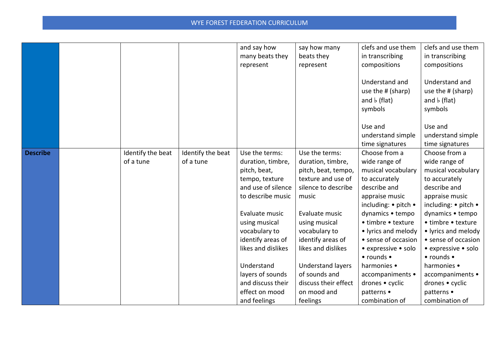|                 |                   |                   | and say how        | say how many             | clefs and use them   | clefs and use them                   |
|-----------------|-------------------|-------------------|--------------------|--------------------------|----------------------|--------------------------------------|
|                 |                   |                   | many beats they    | beats they               | in transcribing      | in transcribing                      |
|                 |                   |                   | represent          | represent                | compositions         | compositions                         |
|                 |                   |                   |                    |                          |                      |                                      |
|                 |                   |                   |                    |                          | Understand and       | Understand and                       |
|                 |                   |                   |                    |                          | use the # (sharp)    | use the # (sharp)                    |
|                 |                   |                   |                    |                          | and $\flat$ (flat)   | and $\flat$ (flat)                   |
|                 |                   |                   |                    |                          | symbols              | symbols                              |
|                 |                   |                   |                    |                          |                      |                                      |
|                 |                   |                   |                    |                          | Use and              | Use and                              |
|                 |                   |                   |                    |                          | understand simple    | understand simple                    |
|                 |                   |                   |                    |                          | time signatures      | time signatures                      |
| <b>Describe</b> | Identify the beat | Identify the beat | Use the terms:     | Use the terms:           | Choose from a        | Choose from a                        |
|                 | of a tune         | of a tune         | duration, timbre,  | duration, timbre,        | wide range of        | wide range of                        |
|                 |                   |                   | pitch, beat,       | pitch, beat, tempo,      | musical vocabulary   | musical vocabulary                   |
|                 |                   |                   | tempo, texture     | texture and use of       | to accurately        | to accurately                        |
|                 |                   |                   | and use of silence | silence to describe      | describe and         | describe and                         |
|                 |                   |                   | to describe music  | music                    | appraise music       | appraise music                       |
|                 |                   |                   |                    |                          | including: • pitch • | including: $\bullet$ pitch $\bullet$ |
|                 |                   |                   | Evaluate music     | Evaluate music           | dynamics • tempo     | dynamics • tempo                     |
|                 |                   |                   | using musical      | using musical            | • timbre • texture   | • timbre • texture                   |
|                 |                   |                   | vocabulary to      | vocabulary to            | • lyrics and melody  | • lyrics and melody                  |
|                 |                   |                   | identify areas of  | identify areas of        | • sense of occasion  | • sense of occasion                  |
|                 |                   |                   | likes and dislikes | likes and dislikes       | • expressive • solo  | • expressive • solo                  |
|                 |                   |                   |                    |                          | • rounds •           | $\bullet$ rounds $\bullet$           |
|                 |                   |                   | Understand         | <b>Understand layers</b> | harmonies •          | harmonies •                          |
|                 |                   |                   | layers of sounds   | of sounds and            | accompaniments •     | accompaniments •                     |
|                 |                   |                   | and discuss their  | discuss their effect     | drones • cyclic      | drones • cyclic                      |
|                 |                   |                   | effect on mood     | on mood and              | patterns •           | patterns •                           |
|                 |                   |                   | and feelings       | feelings                 | combination of       | combination of                       |